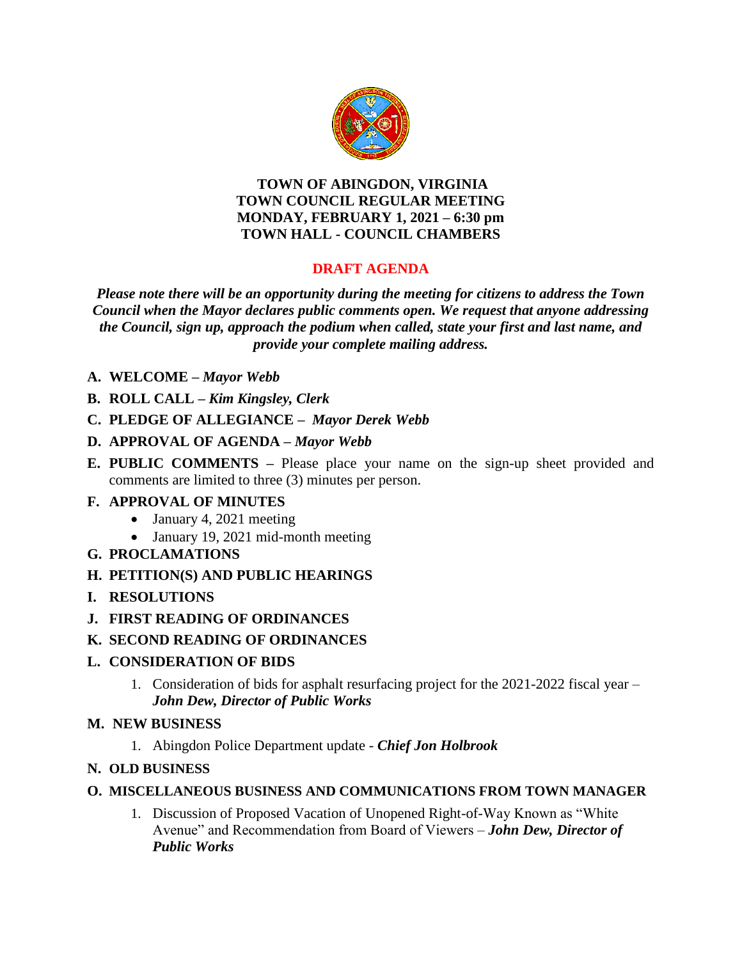

### **TOWN OF ABINGDON, VIRGINIA TOWN COUNCIL REGULAR MEETING MONDAY, FEBRUARY 1, 2021 – 6:30 pm TOWN HALL - COUNCIL CHAMBERS**

# **DRAFT AGENDA**

*Please note there will be an opportunity during the meeting for citizens to address the Town Council when the Mayor declares public comments open. We request that anyone addressing the Council, sign up, approach the podium when called, state your first and last name, and provide your complete mailing address.*

- **A. WELCOME –** *Mayor Webb*
- **B. ROLL CALL –** *Kim Kingsley, Clerk*
- **C. PLEDGE OF ALLEGIANCE –** *Mayor Derek Webb*
- **D. APPROVAL OF AGENDA –** *Mayor Webb*
- **E. PUBLIC COMMENTS –** Please place your name on the sign-up sheet provided and comments are limited to three (3) minutes per person.

### **F. APPROVAL OF MINUTES**

- January 4, 2021 meeting
- January 19, 2021 mid-month meeting
- **G. PROCLAMATIONS**
- **H. PETITION(S) AND PUBLIC HEARINGS**
- **I. RESOLUTIONS**
- **J. FIRST READING OF ORDINANCES**
- **K. SECOND READING OF ORDINANCES**

## **L. CONSIDERATION OF BIDS**

- 1. Consideration of bids for asphalt resurfacing project for the 2021-2022 fiscal year *John Dew, Director of Public Works*
- **M. NEW BUSINESS**
	- 1. Abingdon Police Department update *Chief Jon Holbrook*
- **N. OLD BUSINESS**
- **O. MISCELLANEOUS BUSINESS AND COMMUNICATIONS FROM TOWN MANAGER**
	- 1. Discussion of Proposed Vacation of Unopened Right-of-Way Known as "White Avenue" and Recommendation from Board of Viewers – *John Dew, Director of Public Works*